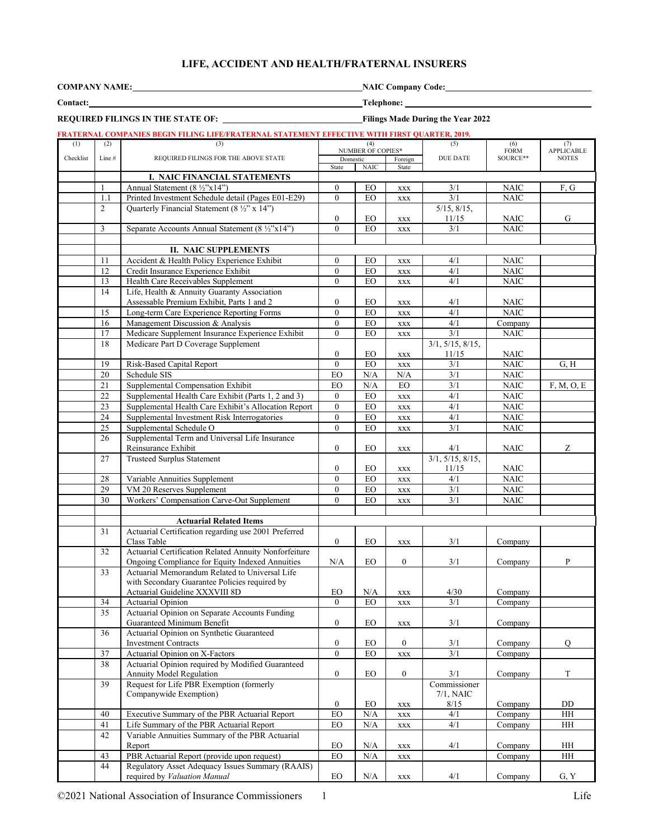### **LIFE, ACCIDENT AND HEALTH/FRATERNAL INSURERS**

| <b>COMPANY NAME</b> |  |  |
|---------------------|--|--|
|                     |  |  |

**NAIC Company Code:** 

**REQUIRED FILINGS IN THE STATE OF:****Filings Made During the Year 2022**

**Contact: Telephone:** 

**FRATERNAL COMPANIES BEGIN FILING LIFE/FRATERNAL STATEMENT EFFECTIVE WITH FIRST QUARTER, 2019.** (1) Checklist (2) Line # (3) REQUIRED FILINGS FOR THE ABOVE STATE (4) NUMBER OF COPIES\* (5) DUE DATE (4) (4) (5) (6) (7)<br>
<u>NUMBER OP COPIES\*</u> (5) Exercign DUE DATE (6) APPLICAE<br>
DOURCE\*\* NOTES (7) APPLICABLE State NAIC State **I. NAIC FINANCIAL STATEMENTS** 1 Annual Statement (8 ½"x14") 0 EO xxx 3/1 NAIC F, G<br>1.1 Printed Investment Schedule detail (Pages E01-E29) 0 EO xxx 3/1 NAIC 1.1 Printed Investment Schedule detail (Pages E01-E29) 0 EO xxx 2 Quarterly Financial Statement (8 ½" x 14")  $\begin{array}{c|c|c}\n0 & \text{EO} & \text{xxx} \\
\hline\n0 & \text{EO} & \text{xxx}\n\end{array}$ 5/15, 8/15, 11/15 NAIC G<br>3/1 NAIC  $\overline{3}$  Separate Accounts Annual Statement  $(8 \frac{1}{2} \times 14 \times 14)$  0 EO xxx **II. NAIC SUPPLEMENTS** 11 Accident & Health Policy Experience Exhibit  $\begin{vmatrix} 0 & E0 \end{vmatrix}$  EO xxx 4/1 NAIC 12 Credit Insurance Experience Exhibit 10 | EO | xxx | 4/1 | NAIC 13 Health Care Receivables Supplement 0 EO xxx 4/1 NAIC<br>14 Life. Health & Annuity Guaranty Association Life, Health & Annuity Guaranty Association Assessable Premium Exhibit, Parts 1 and 2 0 EO xxx 4/1 NAIC 15 Long-term Care Experience Reporting Forms 0 EO xxx 4/1 NAIC 16 Management Discussion & Analysis 0 EO xxx 4/1 Company<br>17 Medicare Supplement Insurance Experience Exhibit 0 EO xxx 3/1 NAIC 17 | Medicare Supplement Insurance Experience Exhibit | 0 | EO | xxx | 3/1 | NAIC 18 Medicare Part D Coverage Supplement  $0$  EO  $xxx$ 3/1, 5/15, 8/15, 11/15 NAIC 19 Risk-Based Capital Report 10 EO xxx 3/1 NAIC G, H 20 Schedule SIS Contract Contract Contract Contract Contract Contract Contract Contract Contract Contract Contract Contract Contract Contract Contract Contract Contract Contract Contract Contract Contract Contract Contract 21 Supplemental Compensation Exhibit EO N/A EO 3/1 NAIC F, M, O, E 22 Supplemental Health Care Exhibit (Parts 1, 2 and 3) 0 EO xxx 4/1 NAIC 23 Supplemental Health Care Exhibit's Allocation Report 0 EO xxx 4/1 NAIC 24 Supplemental Investment Risk Interrogatories 0 EO xxx 4/1 NAIC 25 Supplemental Schedule O 0 EO xxx 3/1 NAIC<br>26 Supplemental Term and Universal Life Insurance Supplemental Term and Universal Life Insurance Reinsurance Exhibit 0 EO xxx 4/1 NAIC Z 27 Trusteed Surplus Statement  $0$  | EO | xxx 3/1, 5/15, 8/15, 11/15 NAIC 28 Variable Annuities Supplement 0 EO xxx 4/1 NAIC 29 VM 20 Reserves Supplement 0 EO xxx 3/1 NAIC<br>30 Workers' Compensation Carve-Out Supplement 0 EO xxx 3/1 NAIC 30 Workers' Compensation Carve-Out Supplement 0 EO xxx 3/1 NAIC **Actuarial Related Items** 31 Actuarial Certification regarding use 2001 Preferred<br>Class Table Class Table  $\begin{array}{c|c|c|c|c|c} \hline \text{Class Table} & 0 & \text{EO} & \text{xxx} & 3/1 & \text{Compary} \end{array}$ 32 Actuarial Certification Related Annuity Nonforfeiture Ongoing Compliance for Equity Indexed Annuities N/A EO 0 3/1 Company P 33 Actuarial Memorandum Related to Universal Life with Secondary Guarantee Policies required by Actuarial Guideline XXXVIII 8D EO N/A xxx 4/30 Company 34 Actuarial Opinion 1 Company 1 Company 1 Company 1 Company 35 Actuarial Opinion on Separate Accounts Funding Guaranteed Minimum Benefit  $\begin{vmatrix} 0 & 0 \\ 0 & E_0 \end{vmatrix}$  EQ  $\begin{vmatrix} 0 & 3/1 \\ 0 & 3/1 \end{vmatrix}$  Company 36 Actuarial Opinion on Synthetic Guaranteed Investment Contracts 0 EO 0 3/1 Company Q 37 Actuarial Opinion on X-Factors 0 EO xxx 38 Actuarial Opinion required by Modified Guaranteed Annuity Model Regulation 0 EO 0 3/1 Company T 39 Request for Life PBR Exemption (formerly Companywide Exemption)  $0\qquad \qquad \text{EO}\qquad \text{xxx}$ Commissioner 7/1, NAIC 8/15 Company DD 40 Executive Summary of the PBR Actuarial Report EO N/A xxx 4/1 Company HH 41 Life Summary of the PBR Actuarial Report EO N/A xxx 4/1 Company HH<br>42 Variable Annuities Summary of the PBR Actuarial Variable Annuities Summary of the PBR Actuarial<br>Report Report EO N/A xxx 4/1 Company HH 43 PBR Actuarial Report (provide upon request) BO N/A xxx Company Company HH 44 Regulatory Asset Adequacy Issues Summary (RAAIS)

required by *Valuation Manual* **EO** N/A xxx 4/1 Company G, Y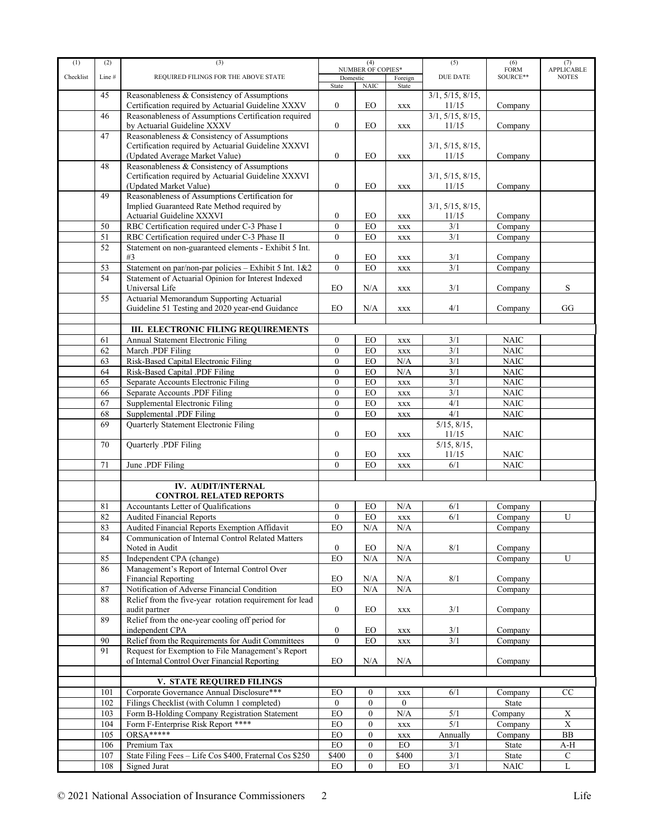| (1)       | (2)   | (3)                                                                       |                   | (4)                      |                  | (5)              | (6)                            | (7)                         |
|-----------|-------|---------------------------------------------------------------------------|-------------------|--------------------------|------------------|------------------|--------------------------------|-----------------------------|
| Checklist |       |                                                                           |                   | <b>NUMBER OF COPIES*</b> |                  | <b>DUE DATE</b>  | FORM<br>SOURCE**               | <b>APPLICABLE</b>           |
|           | Line# | REQUIRED FILINGS FOR THE ABOVE STATE                                      | Domestic<br>State | <b>NAIC</b>              | Foreign<br>State |                  |                                | <b>NOTES</b>                |
|           | 45    | Reasonableness & Consistency of Assumptions                               |                   |                          |                  | 3/1, 5/15, 8/15, |                                |                             |
|           |       | Certification required by Actuarial Guideline XXXV                        | $\boldsymbol{0}$  | EO                       | <b>XXX</b>       | 11/15            | Company                        |                             |
|           | 46    | Reasonableness of Assumptions Certification required                      |                   |                          |                  | 3/1, 5/15, 8/15, |                                |                             |
|           |       | by Actuarial Guideline XXXV                                               | $\mathbf{0}$      | <b>EO</b>                | $\mathbf{XXX}$   | 11/15            | Company                        |                             |
|           | 47    | Reasonableness & Consistency of Assumptions                               |                   |                          |                  |                  |                                |                             |
|           |       | Certification required by Actuarial Guideline XXXVI                       |                   |                          |                  | 3/1, 5/15, 8/15, |                                |                             |
|           |       | (Updated Average Market Value)                                            | $\boldsymbol{0}$  | EO                       |                  | 11/15            |                                |                             |
|           | 48    | Reasonableness & Consistency of Assumptions                               |                   |                          | <b>XXX</b>       |                  | Company                        |                             |
|           |       |                                                                           |                   |                          |                  |                  |                                |                             |
|           |       | Certification required by Actuarial Guideline XXXVI                       |                   |                          |                  | 3/1, 5/15, 8/15, |                                |                             |
|           |       | (Updated Market Value)                                                    | $\boldsymbol{0}$  | EO                       | $\mathbf{XXX}$   | 11/15            | Company                        |                             |
|           | 49    | Reasonableness of Assumptions Certification for                           |                   |                          |                  |                  |                                |                             |
|           |       | Implied Guaranteed Rate Method required by                                |                   |                          |                  | 3/1, 5/15, 8/15, |                                |                             |
|           |       | Actuarial Guideline XXXVI                                                 | $\boldsymbol{0}$  | EO                       | <b>XXX</b>       | 11/15            | Company                        |                             |
|           | 50    | RBC Certification required under C-3 Phase I                              | $\mathbf{0}$      | EO                       | <b>XXX</b>       | 3/1              | Company                        |                             |
|           | 51    | RBC Certification required under C-3 Phase II                             | $\mathbf{0}$      | EO                       | <b>XXX</b>       | 3/1              | Company                        |                             |
|           | 52    | Statement on non-guaranteed elements - Exhibit 5 Int.                     |                   |                          |                  |                  |                                |                             |
|           |       | #3                                                                        | $\boldsymbol{0}$  | EO                       | <b>XXX</b>       | 3/1              | Company                        |                             |
|           | 53    | Statement on par/non-par policies - Exhibit 5 Int. 1&2                    | $\theta$          | EO                       | <b>XXX</b>       | 3/1              | Company                        |                             |
|           | 54    | Statement of Actuarial Opinion for Interest Indexed                       |                   |                          |                  |                  |                                |                             |
|           |       | Universal Life                                                            | EO                | N/A                      | XXX              | 3/1              | Company                        | S                           |
|           | 55    | Actuarial Memorandum Supporting Actuarial                                 |                   |                          |                  |                  |                                |                             |
|           |       | Guideline 51 Testing and 2020 year-end Guidance                           | EO                | N/A                      | <b>XXX</b>       | 4/1              | Company                        | GG                          |
|           |       |                                                                           |                   |                          |                  |                  |                                |                             |
|           |       | III. ELECTRONIC FILING REQUIREMENTS                                       |                   |                          |                  |                  |                                |                             |
|           | 61    | <b>Annual Statement Electronic Filing</b>                                 | $\boldsymbol{0}$  | EO                       | <b>XXX</b>       | 3/1              | <b>NAIC</b>                    |                             |
|           | 62    | March .PDF Filing                                                         | $\mathbf{0}$      | EO                       | <b>XXX</b>       | 3/1              | <b>NAIC</b>                    |                             |
|           | 63    | Risk-Based Capital Electronic Filing                                      | $\mathbf{0}$      | EO                       | N/A              | 3/1              | <b>NAIC</b>                    |                             |
|           | 64    | Risk-Based Capital .PDF Filing                                            | $\mathbf{0}$      | EO                       | N/A              | 3/1              | <b>NAIC</b>                    |                             |
|           |       |                                                                           |                   |                          |                  |                  |                                |                             |
|           | 65    | Separate Accounts Electronic Filing                                       | $\mathbf{0}$      | EO                       | <b>XXX</b>       | 3/1              | <b>NAIC</b>                    |                             |
|           | 66    | Separate Accounts .PDF Filing                                             | $\mathbf{0}$      | EO                       | <b>XXX</b>       | 3/1              | $\rm NAIC$                     |                             |
|           | 67    | Supplemental Electronic Filing                                            | $\mathbf{0}$      | EO                       | $\mathbf{XXX}$   | $\overline{4/1}$ | <b>NAIC</b>                    |                             |
|           | 68    | Supplemental .PDF Filing                                                  | $\mathbf{0}$      | EO                       | <b>XXX</b>       | 4/1              | <b>NAIC</b>                    |                             |
|           | 69    | Quarterly Statement Electronic Filing                                     |                   |                          |                  | 5/15, 8/15,      |                                |                             |
|           |       |                                                                           | $\mathbf{0}$      | EO                       | <b>XXX</b>       | 11/15            | NAIC                           |                             |
|           | 70    | Quarterly .PDF Filing                                                     |                   |                          |                  | 5/15, 8/15,      |                                |                             |
|           |       |                                                                           | $\boldsymbol{0}$  | EO                       | <b>XXX</b>       | 11/15            | <b>NAIC</b>                    |                             |
|           | 71    | June .PDF Filing                                                          | $\mathbf{0}$      | EO                       | <b>XXX</b>       | 6/1              | <b>NAIC</b>                    |                             |
|           |       |                                                                           |                   |                          |                  |                  |                                |                             |
|           |       | IV. AUDIT/INTERNAL                                                        |                   |                          |                  |                  |                                |                             |
|           |       | <b>CONTROL RELATED REPORTS</b>                                            |                   |                          |                  |                  |                                |                             |
|           | 81    | Accountants Letter of Qualifications                                      | $\boldsymbol{0}$  | EO                       | N/A              | 6/1              | Company                        |                             |
|           | 82    | <b>Audited Financial Reports</b>                                          | $\mathbf{0}$      | EO                       | <b>XXX</b>       | 6/1              | Company                        | U                           |
|           | 83    | Audited Financial Reports Exemption Affidavit                             | EO                | N/A                      | N/A              |                  | Company                        |                             |
|           | 84    | Communication of Internal Control Related Matters                         |                   |                          |                  |                  |                                |                             |
|           |       | Noted in Audit                                                            | $\boldsymbol{0}$  | EO                       | N/A              | 8/1              | Company                        |                             |
|           | 85    | Independent CPA (change)                                                  | EO                | $\rm N/A$                | N/A              |                  | Company                        | U                           |
|           | 86    | Management's Report of Internal Control Over                              |                   |                          |                  |                  |                                |                             |
|           |       |                                                                           |                   |                          |                  |                  |                                |                             |
|           |       | <b>Financial Reporting</b><br>Notification of Adverse Financial Condition | EO<br><b>EO</b>   | N/A<br>N/A               | N/A<br>N/A       | 8/1              | Company                        |                             |
|           | 87    |                                                                           |                   |                          |                  |                  | Company                        |                             |
|           | 88    | Relief from the five-year rotation requirement for lead                   |                   |                          |                  |                  |                                |                             |
|           |       | audit partner                                                             | $\boldsymbol{0}$  | EO                       | XXX              | 3/1              | Company                        |                             |
|           | 89    | Relief from the one-year cooling off period for                           |                   |                          |                  |                  |                                |                             |
|           |       | independent CPA                                                           | $\boldsymbol{0}$  | EO                       | XXX              | 3/1              | Company                        |                             |
|           | 90    | Relief from the Requirements for Audit Committees                         | $\theta$          | EO                       | $\mathbf{XXX}$   | 3/1              | Company                        |                             |
|           | 91    | Request for Exemption to File Management's Report                         |                   |                          |                  |                  |                                |                             |
|           |       | of Internal Control Over Financial Reporting                              | EO                | N/A                      | N/A              |                  | Company                        |                             |
|           |       |                                                                           |                   |                          |                  |                  |                                |                             |
|           |       | V. STATE REQUIRED FILINGS                                                 |                   |                          |                  |                  |                                |                             |
|           | 101   | Corporate Governance Annual Disclosure***                                 | EO                | $\boldsymbol{0}$         | XXX              | 6/1              | Company                        | CC                          |
|           | 102   | Filings Checklist (with Column 1 completed)                               | $\mathbf{0}$      | $\boldsymbol{0}$         | $\theta$         |                  | State                          |                             |
|           | 103   | Form B-Holding Company Registration Statement                             | ${\rm EO}$        | $\boldsymbol{0}$         | N/A              | 5/1              | Company                        | X                           |
|           | 104   | Form F-Enterprise Risk Report ****                                        | ${\rm EO}$        | $\boldsymbol{0}$         | XXX              | $\overline{5/1}$ | Company                        | $\overline{\textbf{X}}$     |
|           | 105   | ORSA*****                                                                 | ${\rm EO}$        | $\boldsymbol{0}$         | <b>XXX</b>       | Annually         | $\overline{\mathrm{Comp}}$ any | ${\bf BB}$                  |
|           | 106   | Premium Tax                                                               | ${\rm EO}$        | $\boldsymbol{0}$         | $_{\rm EO}$      | 3/1              | State                          | A-H                         |
|           |       |                                                                           |                   | $\boldsymbol{0}$         |                  |                  |                                |                             |
|           | 107   | State Filing Fees - Life Cos \$400, Fraternal Cos \$250                   | \$400             |                          | \$400            | 3/1              | State                          | ${\bf C}$<br>$\overline{L}$ |
|           | 108   | Signed Jurat                                                              | $EO$              | $\mathbf{0}$             | EO               | 3/1              | $\rm NAIC$                     |                             |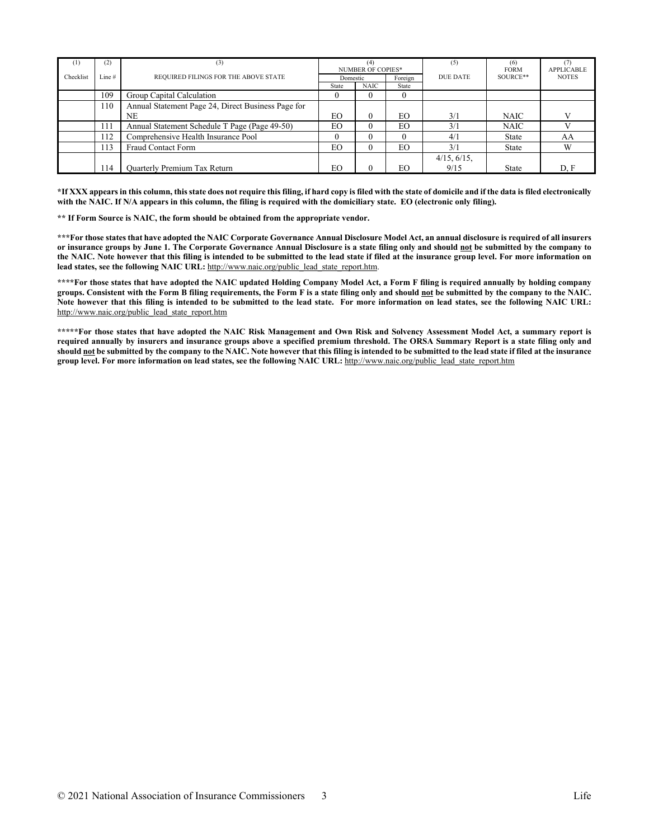| (1)       | (2)   | (3)                                                | (4)<br><b>NUMBER OF COPIES*</b> |          | (5)     | (6)<br><b>FORM</b> | <b>APPLICABLE</b> |              |
|-----------|-------|----------------------------------------------------|---------------------------------|----------|---------|--------------------|-------------------|--------------|
| Checklist | Line# | REQUIRED FILINGS FOR THE ABOVE STATE               | Domestic                        |          | Foreign | DUE DATE           | SOURCE**          | <b>NOTES</b> |
|           |       |                                                    | State                           | NAIC     | State   |                    |                   |              |
|           | 109   | Group Capital Calculation                          |                                 |          |         |                    |                   |              |
|           | 110   | Annual Statement Page 24, Direct Business Page for |                                 |          |         |                    |                   |              |
|           |       | NE                                                 | EO                              | $\theta$ | EO.     | 3/1                | <b>NAIC</b>       |              |
|           | 111   | Annual Statement Schedule T Page (Page 49-50)      | EO                              | 0        | EO      | 3/1                | <b>NAIC</b>       |              |
|           | 112   | Comprehensive Health Insurance Pool                |                                 |          |         | 4/1                | State             | AA           |
|           | 113   | <b>Fraud Contact Form</b>                          | EO                              | 0        | EO      | 3/1                | State             | W            |
|           |       |                                                    |                                 |          |         | 4/15, 6/15,        |                   |              |
|           | 114   | <b>Quarterly Premium Tax Return</b>                | EO                              |          | EO.     | 9/15               | State             | D, F         |

**\*If XXX appears in this column, this state does not require this filing, if hard copy is filed with the state of domicile and if the data is filed electronically with the NAIC. If N/A appears in this column, the filing is required with the domiciliary state. EO (electronic only filing).**

**\*\* If Form Source is NAIC, the form should be obtained from the appropriate vendor.** 

**\*\*\*For those states that have adopted the NAIC Corporate Governance Annual Disclosure Model Act, an annual disclosure is required of all insurers or insurance groups by June 1. The Corporate Governance Annual Disclosure is a state filing only and should not be submitted by the company to the NAIC. Note however that this filing is intended to be submitted to the lead state if filed at the insurance group level. For more information on lead states, see the following NAIC URL:** [http://www.naic.org/public\\_lead\\_state\\_report.htm.](http://www.naic.org/public_lead_state_report.htm)

**\*\*\*\*For those states that have adopted the NAIC updated Holding Company Model Act, a Form F filing is required annually by holding company groups. Consistent with the Form B filing requirements, the Form F is a state filing only and should not be submitted by the company to the NAIC. Note however that this filing is intended to be submitted to the lead state. For more information on lead states, see the following NAIC URL:**  [http://www.naic.org/public\\_lead\\_state\\_report.htm](http://www.naic.org/public_lead_state_report.htm)

**\*\*\*\*\*For those states that have adopted the NAIC Risk Management and Own Risk and Solvency Assessment Model Act, a summary report is required annually by insurers and insurance groups above a specified premium threshold. The ORSA Summary Report is a state filing only and should not be submitted by the company to the NAIC. Note however that this filing is intended to be submitted to the lead state if filed at the insurance group level. For more information on lead states, see the following NAIC URL:** [http://www.naic.org/public\\_lead\\_state\\_report.htm](http://www.naic.org/public_lead_state_report.htm)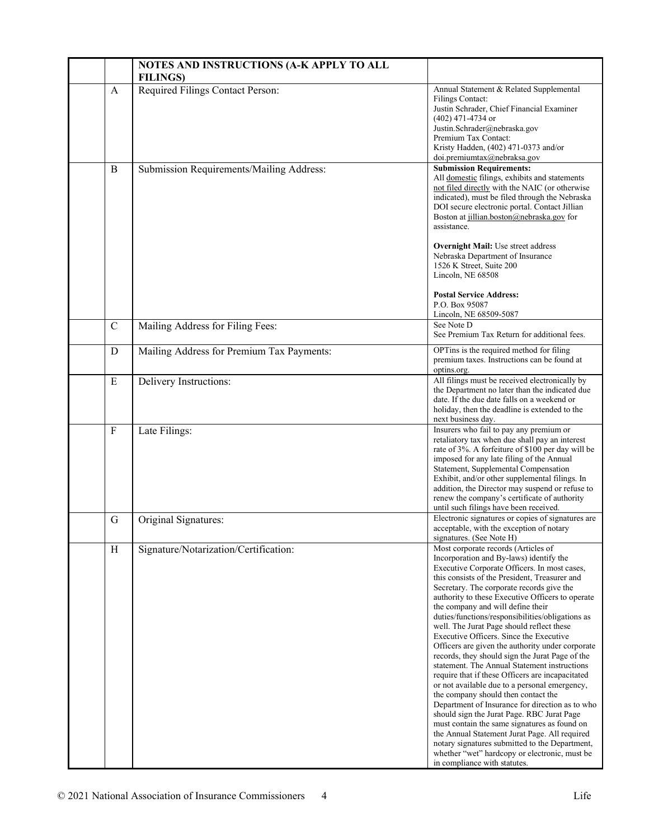|             | NOTES AND INSTRUCTIONS (A-K APPLY TO ALL<br><b>FILINGS)</b> |                                                                                                                                                                                                                                                                                                                                                                                                                                                                                                                                                                                                                                                                                                                                                                                                                                                                                                                                                                                                                                                                                                           |
|-------------|-------------------------------------------------------------|-----------------------------------------------------------------------------------------------------------------------------------------------------------------------------------------------------------------------------------------------------------------------------------------------------------------------------------------------------------------------------------------------------------------------------------------------------------------------------------------------------------------------------------------------------------------------------------------------------------------------------------------------------------------------------------------------------------------------------------------------------------------------------------------------------------------------------------------------------------------------------------------------------------------------------------------------------------------------------------------------------------------------------------------------------------------------------------------------------------|
| A           | Required Filings Contact Person:                            | Annual Statement & Related Supplemental<br><b>Filings Contact:</b><br>Justin Schrader, Chief Financial Examiner<br>$(402)$ 471-4734 or<br>Justin.Schrader@nebraska.gov<br>Premium Tax Contact:<br>Kristy Hadden, (402) 471-0373 and/or<br>doi.premiumtax@nebraksa.gov                                                                                                                                                                                                                                                                                                                                                                                                                                                                                                                                                                                                                                                                                                                                                                                                                                     |
| B           | Submission Requirements/Mailing Address:                    | <b>Submission Requirements:</b><br>All domestic filings, exhibits and statements<br>not filed directly with the NAIC (or otherwise<br>indicated), must be filed through the Nebraska<br>DOI secure electronic portal. Contact Jillian<br>Boston at jillian.boston@nebraska.gov for<br>assistance.<br><b>Overnight Mail:</b> Use street address<br>Nebraska Department of Insurance<br>1526 K Street, Suite 200<br>Lincoln, NE 68508<br><b>Postal Service Address:</b><br>P.O. Box 95087<br>Lincoln, NE 68509-5087                                                                                                                                                                                                                                                                                                                                                                                                                                                                                                                                                                                         |
| $\mathbf C$ | Mailing Address for Filing Fees:                            | See Note D<br>See Premium Tax Return for additional fees.                                                                                                                                                                                                                                                                                                                                                                                                                                                                                                                                                                                                                                                                                                                                                                                                                                                                                                                                                                                                                                                 |
| D           | Mailing Address for Premium Tax Payments:                   | OPTins is the required method for filing<br>premium taxes. Instructions can be found at<br>optins.org.                                                                                                                                                                                                                                                                                                                                                                                                                                                                                                                                                                                                                                                                                                                                                                                                                                                                                                                                                                                                    |
| E           | Delivery Instructions:                                      | All filings must be received electronically by<br>the Department no later than the indicated due<br>date. If the due date falls on a weekend or<br>holiday, then the deadline is extended to the<br>next business day.                                                                                                                                                                                                                                                                                                                                                                                                                                                                                                                                                                                                                                                                                                                                                                                                                                                                                    |
| $\mathbf F$ | Late Filings:                                               | Insurers who fail to pay any premium or<br>retaliatory tax when due shall pay an interest<br>rate of 3%. A forfeiture of \$100 per day will be<br>imposed for any late filing of the Annual<br>Statement, Supplemental Compensation<br>Exhibit, and/or other supplemental filings. In<br>addition, the Director may suspend or refuse to<br>renew the company's certificate of authority<br>until such filings have been received.                                                                                                                                                                                                                                                                                                                                                                                                                                                                                                                                                                                                                                                                        |
| G           | Original Signatures:                                        | Electronic signatures or copies of signatures are<br>acceptable, with the exception of notary<br>signatures. (See Note H)                                                                                                                                                                                                                                                                                                                                                                                                                                                                                                                                                                                                                                                                                                                                                                                                                                                                                                                                                                                 |
| H           | Signature/Notarization/Certification:                       | Most corporate records (Articles of<br>Incorporation and By-laws) identify the<br>Executive Corporate Officers. In most cases,<br>this consists of the President, Treasurer and<br>Secretary. The corporate records give the<br>authority to these Executive Officers to operate<br>the company and will define their<br>duties/functions/responsibilities/obligations as<br>well. The Jurat Page should reflect these<br>Executive Officers. Since the Executive<br>Officers are given the authority under corporate<br>records, they should sign the Jurat Page of the<br>statement. The Annual Statement instructions<br>require that if these Officers are incapacitated<br>or not available due to a personal emergency,<br>the company should then contact the<br>Department of Insurance for direction as to who<br>should sign the Jurat Page. RBC Jurat Page<br>must contain the same signatures as found on<br>the Annual Statement Jurat Page. All required<br>notary signatures submitted to the Department,<br>whether "wet" hardcopy or electronic, must be<br>in compliance with statutes. |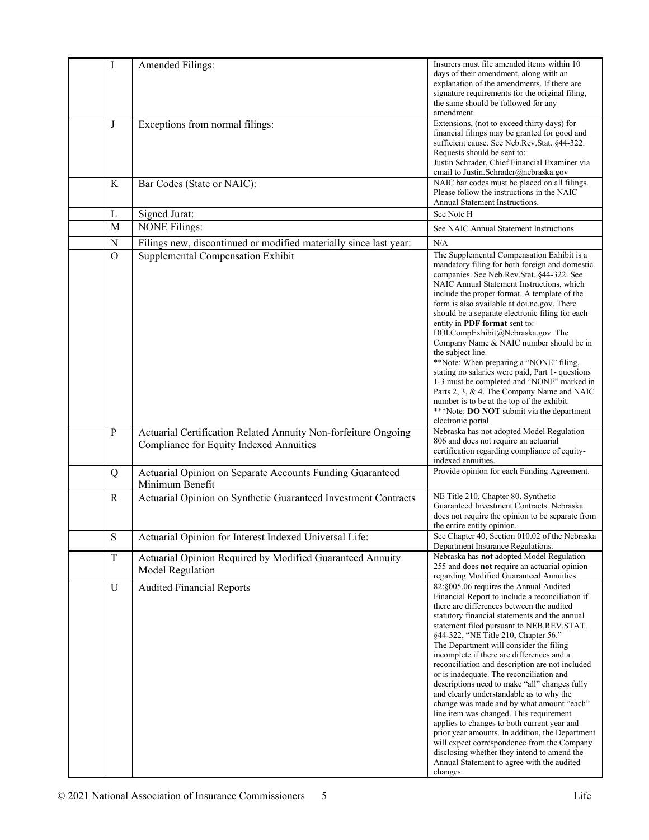| $\mathbf I$  | Amended Filings:                                                                                          | Insurers must file amended items within 10<br>days of their amendment, along with an<br>explanation of the amendments. If there are<br>signature requirements for the original filing,<br>the same should be followed for any                                                                                                                                                                                                                                                                                                                                                                                                                                                                                                                                                                                                                                                                                      |
|--------------|-----------------------------------------------------------------------------------------------------------|--------------------------------------------------------------------------------------------------------------------------------------------------------------------------------------------------------------------------------------------------------------------------------------------------------------------------------------------------------------------------------------------------------------------------------------------------------------------------------------------------------------------------------------------------------------------------------------------------------------------------------------------------------------------------------------------------------------------------------------------------------------------------------------------------------------------------------------------------------------------------------------------------------------------|
| J            | Exceptions from normal filings:                                                                           | amendment.<br>Extensions, (not to exceed thirty days) for<br>financial filings may be granted for good and<br>sufficient cause. See Neb.Rev.Stat. §44-322.                                                                                                                                                                                                                                                                                                                                                                                                                                                                                                                                                                                                                                                                                                                                                         |
|              |                                                                                                           | Requests should be sent to:<br>Justin Schrader, Chief Financial Examiner via<br>email to Justin.Schrader@nebraska.gov                                                                                                                                                                                                                                                                                                                                                                                                                                                                                                                                                                                                                                                                                                                                                                                              |
| K            | Bar Codes (State or NAIC):                                                                                | NAIC bar codes must be placed on all filings.<br>Please follow the instructions in the NAIC<br>Annual Statement Instructions.                                                                                                                                                                                                                                                                                                                                                                                                                                                                                                                                                                                                                                                                                                                                                                                      |
| L            | Signed Jurat:                                                                                             | See Note H                                                                                                                                                                                                                                                                                                                                                                                                                                                                                                                                                                                                                                                                                                                                                                                                                                                                                                         |
| M            | <b>NONE Filings:</b>                                                                                      | See NAIC Annual Statement Instructions                                                                                                                                                                                                                                                                                                                                                                                                                                                                                                                                                                                                                                                                                                                                                                                                                                                                             |
| N            | Filings new, discontinued or modified materially since last year:                                         | N/A                                                                                                                                                                                                                                                                                                                                                                                                                                                                                                                                                                                                                                                                                                                                                                                                                                                                                                                |
| $\mathbf O$  | Supplemental Compensation Exhibit                                                                         | The Supplemental Compensation Exhibit is a<br>mandatory filing for both foreign and domestic<br>companies. See Neb.Rev.Stat. §44-322. See<br>NAIC Annual Statement Instructions, which<br>include the proper format. A template of the<br>form is also available at doi.ne.gov. There<br>should be a separate electronic filing for each<br>entity in PDF format sent to:<br>DOI.CompExhibit@Nebraska.gov. The<br>Company Name & NAIC number should be in<br>the subject line.<br>**Note: When preparing a "NONE" filing,<br>stating no salaries were paid, Part 1- questions<br>1-3 must be completed and "NONE" marked in<br>Parts 2, 3, & 4. The Company Name and NAIC<br>number is to be at the top of the exhibit.<br>***Note: DO NOT submit via the department<br>electronic portal.                                                                                                                         |
| $\, {\bf P}$ | Actuarial Certification Related Annuity Non-forfeiture Ongoing<br>Compliance for Equity Indexed Annuities | Nebraska has not adopted Model Regulation<br>806 and does not require an actuarial<br>certification regarding compliance of equity-<br>indexed annuities.                                                                                                                                                                                                                                                                                                                                                                                                                                                                                                                                                                                                                                                                                                                                                          |
| Q            | Actuarial Opinion on Separate Accounts Funding Guaranteed<br>Minimum Benefit                              | Provide opinion for each Funding Agreement.                                                                                                                                                                                                                                                                                                                                                                                                                                                                                                                                                                                                                                                                                                                                                                                                                                                                        |
| R            | Actuarial Opinion on Synthetic Guaranteed Investment Contracts                                            | NE Title 210, Chapter 80, Synthetic<br>Guaranteed Investment Contracts. Nebraska<br>does not require the opinion to be separate from<br>the entire entity opinion.                                                                                                                                                                                                                                                                                                                                                                                                                                                                                                                                                                                                                                                                                                                                                 |
| $\mathbf S$  | Actuarial Opinion for Interest Indexed Universal Life:                                                    | See Chapter 40, Section 010.02 of the Nebraska<br>Department Insurance Regulations.                                                                                                                                                                                                                                                                                                                                                                                                                                                                                                                                                                                                                                                                                                                                                                                                                                |
| $\mathbf T$  | Actuarial Opinion Required by Modified Guaranteed Annuity<br>Model Regulation                             | Nebraska has not adopted Model Regulation<br>255 and does not require an actuarial opinion<br>regarding Modified Guaranteed Annuities.                                                                                                                                                                                                                                                                                                                                                                                                                                                                                                                                                                                                                                                                                                                                                                             |
| U            | <b>Audited Financial Reports</b>                                                                          | 82:§005.06 requires the Annual Audited<br>Financial Report to include a reconciliation if<br>there are differences between the audited<br>statutory financial statements and the annual<br>statement filed pursuant to NEB.REV.STAT.<br>§44-322, "NE Title 210, Chapter 56."<br>The Department will consider the filing<br>incomplete if there are differences and a<br>reconciliation and description are not included<br>or is inadequate. The reconciliation and<br>descriptions need to make "all" changes fully<br>and clearly understandable as to why the<br>change was made and by what amount "each"<br>line item was changed. This requirement<br>applies to changes to both current year and<br>prior year amounts. In addition, the Department<br>will expect correspondence from the Company<br>disclosing whether they intend to amend the<br>Annual Statement to agree with the audited<br>changes. |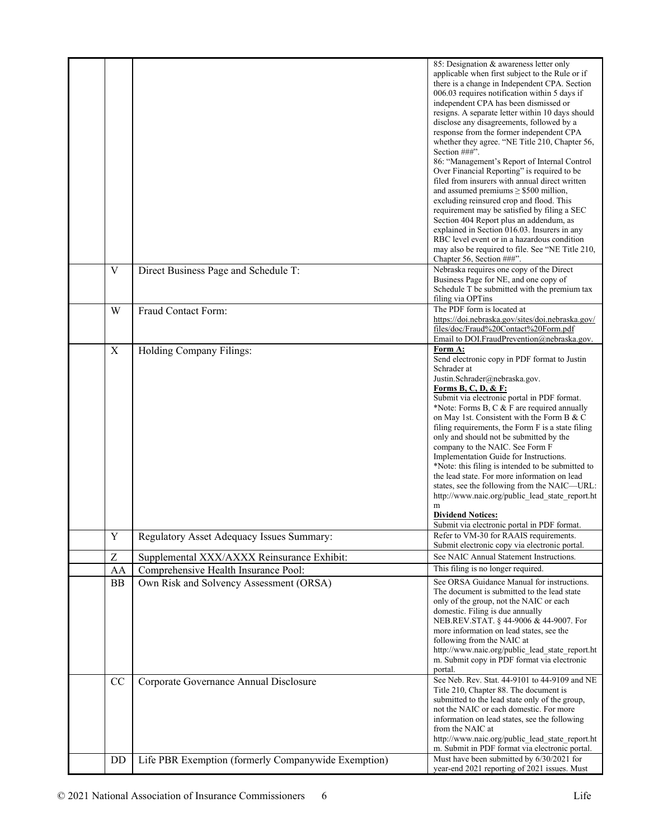|             |                                                     | 85: Designation & awareness letter only<br>applicable when first subject to the Rule or if<br>there is a change in Independent CPA. Section<br>006.03 requires notification within 5 days if<br>independent CPA has been dismissed or<br>resigns. A separate letter within 10 days should<br>disclose any disagreements, followed by a<br>response from the former independent CPA<br>whether they agree. "NE Title 210, Chapter 56,<br>Section ###".<br>86: "Management's Report of Internal Control<br>Over Financial Reporting" is required to be<br>filed from insurers with annual direct written<br>and assumed premiums $\geq$ \$500 million,<br>excluding reinsured crop and flood. This<br>requirement may be satisfied by filing a SEC<br>Section 404 Report plus an addendum, as<br>explained in Section 016.03. Insurers in any<br>RBC level event or in a hazardous condition<br>may also be required to file. See "NE Title 210,<br>Chapter 56, Section ###". |
|-------------|-----------------------------------------------------|-----------------------------------------------------------------------------------------------------------------------------------------------------------------------------------------------------------------------------------------------------------------------------------------------------------------------------------------------------------------------------------------------------------------------------------------------------------------------------------------------------------------------------------------------------------------------------------------------------------------------------------------------------------------------------------------------------------------------------------------------------------------------------------------------------------------------------------------------------------------------------------------------------------------------------------------------------------------------------|
| V           | Direct Business Page and Schedule T:                | Nebraska requires one copy of the Direct<br>Business Page for NE, and one copy of<br>Schedule T be submitted with the premium tax<br>filing via OPTins                                                                                                                                                                                                                                                                                                                                                                                                                                                                                                                                                                                                                                                                                                                                                                                                                      |
| W           | Fraud Contact Form:                                 | The PDF form is located at<br>https://doi.nebraska.gov/sites/doi.nebraska.gov/<br>files/doc/Fraud%20Contact%20Form.pdf<br>Email to DOI.FraudPrevention@nebraska.gov.                                                                                                                                                                                                                                                                                                                                                                                                                                                                                                                                                                                                                                                                                                                                                                                                        |
| $\mathbf X$ | Holding Company Filings:                            | Form A:<br>Send electronic copy in PDF format to Justin<br>Schrader at<br>Justin.Schrader@nebraska.gov.<br><b>Forms B, C, D, &amp; F:</b><br>Submit via electronic portal in PDF format.<br>*Note: Forms B, C & F are required annually<br>on May 1st. Consistent with the Form B & C<br>filing requirements, the Form F is a state filing<br>only and should not be submitted by the<br>company to the NAIC. See Form F<br>Implementation Guide for Instructions.<br>*Note: this filing is intended to be submitted to<br>the lead state. For more information on lead<br>states, see the following from the NAIC—URL:<br>http://www.naic.org/public lead state report.ht<br>m<br><b>Dividend Notices:</b><br>Submit via electronic portal in PDF format.                                                                                                                                                                                                                  |
| $\mathbf Y$ | Regulatory Asset Adequacy Issues Summary:           | Refer to VM-30 for RAAIS requirements.<br>Submit electronic copy via electronic portal.                                                                                                                                                                                                                                                                                                                                                                                                                                                                                                                                                                                                                                                                                                                                                                                                                                                                                     |
| Z           | Supplemental XXX/AXXX Reinsurance Exhibit:          | See NAIC Annual Statement Instructions.                                                                                                                                                                                                                                                                                                                                                                                                                                                                                                                                                                                                                                                                                                                                                                                                                                                                                                                                     |
| AA          | Comprehensive Health Insurance Pool:                | This filing is no longer required.                                                                                                                                                                                                                                                                                                                                                                                                                                                                                                                                                                                                                                                                                                                                                                                                                                                                                                                                          |
| BB          | Own Risk and Solvency Assessment (ORSA)             | See ORSA Guidance Manual for instructions.<br>The document is submitted to the lead state<br>only of the group, not the NAIC or each<br>domestic. Filing is due annually<br>NEB.REV.STAT. § 44-9006 & 44-9007. For<br>more information on lead states, see the<br>following from the NAIC at<br>http://www.naic.org/public lead state report.ht<br>m. Submit copy in PDF format via electronic<br>portal.                                                                                                                                                                                                                                                                                                                                                                                                                                                                                                                                                                   |
| CC          | Corporate Governance Annual Disclosure              | See Neb. Rev. Stat. 44-9101 to 44-9109 and NE<br>Title 210, Chapter 88. The document is<br>submitted to the lead state only of the group,<br>not the NAIC or each domestic. For more<br>information on lead states, see the following<br>from the NAIC at<br>http://www.naic.org/public_lead_state_report.ht<br>m. Submit in PDF format via electronic portal.                                                                                                                                                                                                                                                                                                                                                                                                                                                                                                                                                                                                              |
| DD          | Life PBR Exemption (formerly Companywide Exemption) | Must have been submitted by 6/30/2021 for<br>year-end 2021 reporting of 2021 issues. Must                                                                                                                                                                                                                                                                                                                                                                                                                                                                                                                                                                                                                                                                                                                                                                                                                                                                                   |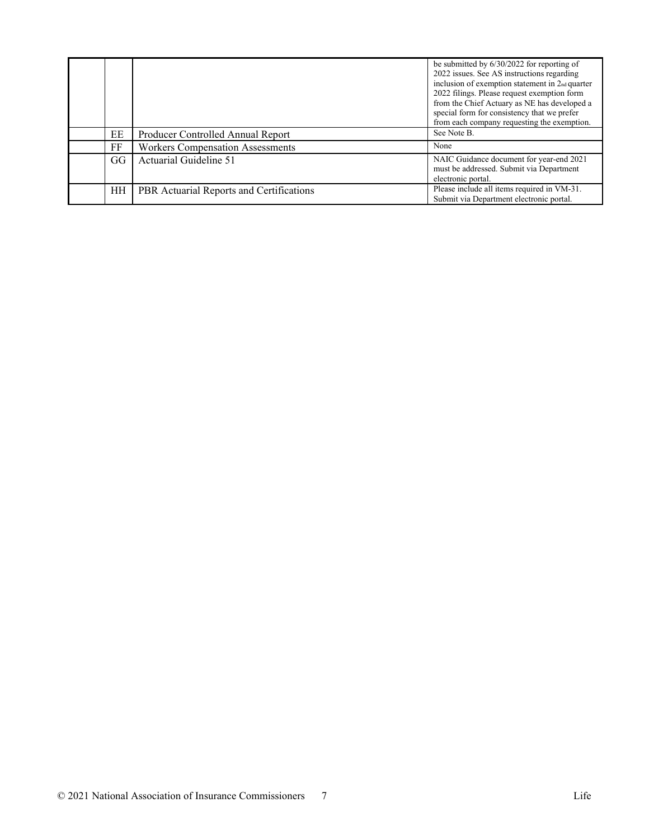|       |                                          | be submitted by $6/30/2022$ for reporting of<br>2022 issues. See AS instructions regarding<br>inclusion of exemption statement in 2 <sub>nd</sub> quarter<br>2022 filings. Please request exemption form<br>from the Chief Actuary as NE has developed a<br>special form for consistency that we prefer<br>from each company requesting the exemption. |
|-------|------------------------------------------|--------------------------------------------------------------------------------------------------------------------------------------------------------------------------------------------------------------------------------------------------------------------------------------------------------------------------------------------------------|
| EE    | Producer Controlled Annual Report        | See Note B.                                                                                                                                                                                                                                                                                                                                            |
| FF    | <b>Workers Compensation Assessments</b>  | None                                                                                                                                                                                                                                                                                                                                                   |
| $G$ G | Actuarial Guideline 51                   | NAIC Guidance document for year-end 2021<br>must be addressed. Submit via Department<br>electronic portal.                                                                                                                                                                                                                                             |
| HН    | PBR Actuarial Reports and Certifications | Please include all items required in VM-31.<br>Submit via Department electronic portal.                                                                                                                                                                                                                                                                |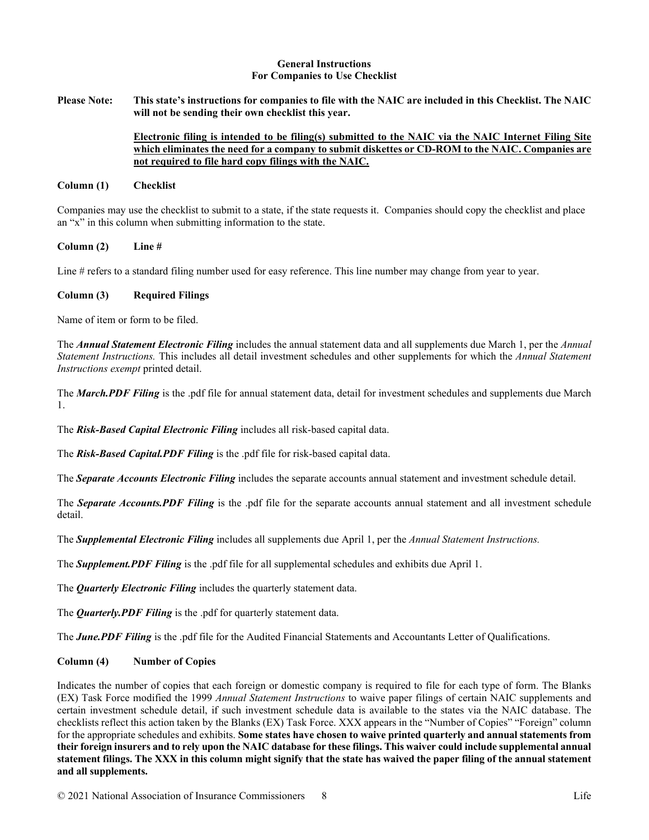### **General Instructions For Companies to Use Checklist**

**Please Note: This state's instructions for companies to file with the NAIC are included in this Checklist. The NAIC will not be sending their own checklist this year.** 

# **Electronic filing is intended to be filing(s) submitted to the NAIC via the NAIC Internet Filing Site which eliminates the need for a company to submit diskettes or CD-ROM to the NAIC. Companies are not required to file hard copy filings with the NAIC.**

### **Column (1) Checklist**

Companies may use the checklist to submit to a state, if the state requests it. Companies should copy the checklist and place an "x" in this column when submitting information to the state.

**Column (2) Line #**

Line # refers to a standard filing number used for easy reference. This line number may change from year to year.

### **Column (3) Required Filings**

Name of item or form to be filed.

The *Annual Statement Electronic Filing* includes the annual statement data and all supplements due March 1, per the *Annual Statement Instructions.* This includes all detail investment schedules and other supplements for which the *Annual Statement Instructions exempt* printed detail.

The *March.PDF Filing* is the .pdf file for annual statement data, detail for investment schedules and supplements due March 1.

The *Risk-Based Capital Electronic Filing* includes all risk-based capital data.

The *Risk-Based Capital.PDF Filing* is the .pdf file for risk-based capital data.

The *Separate Accounts Electronic Filing* includes the separate accounts annual statement and investment schedule detail.

The *Separate Accounts.PDF Filing* is the .pdf file for the separate accounts annual statement and all investment schedule detail.

The *Supplemental Electronic Filing* includes all supplements due April 1, per the *Annual Statement Instructions.* 

The *Supplement.PDF Filing* is the .pdf file for all supplemental schedules and exhibits due April 1.

The *Quarterly Electronic Filing* includes the quarterly statement data.

The *Quarterly.PDF Filing* is the .pdf for quarterly statement data.

The *June.PDF Filing* is the .pdf file for the Audited Financial Statements and Accountants Letter of Qualifications.

## **Column (4) Number of Copies**

Indicates the number of copies that each foreign or domestic company is required to file for each type of form. The Blanks (EX) Task Force modified the 1999 *Annual Statement Instructions* to waive paper filings of certain NAIC supplements and certain investment schedule detail, if such investment schedule data is available to the states via the NAIC database. The checklists reflect this action taken by the Blanks (EX) Task Force. XXX appears in the "Number of Copies" "Foreign" column for the appropriate schedules and exhibits. **Some states have chosen to waive printed quarterly and annual statements from their foreign insurers and to rely upon the NAIC database for these filings. This waiver could include supplemental annual statement filings. The XXX in this column might signify that the state has waived the paper filing of the annual statement and all supplements.**